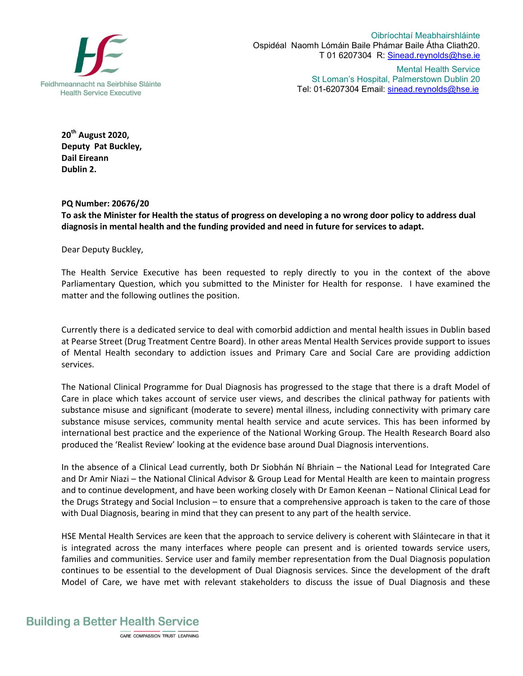

Oibríochtaí Meabhairshláinte Ospidéal Naomh Lómáin Baile Phámar Baile Átha Cliath20. T 01 6207304 R: Sinead.reynolds@hse.ie

> Mental Health Service St Loman's Hospital, Palmerstown Dublin 20 Tel: 01-6207304 Email: sinead.reynolds@hse.ie

**20th August 2020, Deputy Pat Buckley, Dail Eireann Dublin 2.**

## **PQ Number: 20676/20**

**To ask the Minister for Health the status of progress on developing a no wrong door policy to address dual diagnosis in mental health and the funding provided and need in future for services to adapt.**

Dear Deputy Buckley,

The Health Service Executive has been requested to reply directly to you in the context of the above Parliamentary Question, which you submitted to the Minister for Health for response. I have examined the matter and the following outlines the position.

Currently there is a dedicated service to deal with comorbid addiction and mental health issues in Dublin based at Pearse Street (Drug Treatment Centre Board). In other areas Mental Health Services provide support to issues of Mental Health secondary to addiction issues and Primary Care and Social Care are providing addiction services.

The National Clinical Programme for Dual Diagnosis has progressed to the stage that there is a draft Model of Care in place which takes account of service user views, and describes the clinical pathway for patients with substance misuse and significant (moderate to severe) mental illness, including connectivity with primary care substance misuse services, community mental health service and acute services. This has been informed by international best practice and the experience of the National Working Group. The Health Research Board also produced the 'Realist Review' looking at the evidence base around Dual Diagnosis interventions.

In the absence of a Clinical Lead currently, both Dr Siobhán Ní Bhriain – the National Lead for Integrated Care and Dr Amir Niazi – the National Clinical Advisor & Group Lead for Mental Health are keen to maintain progress and to continue development, and have been working closely with Dr Eamon Keenan – National Clinical Lead for the Drugs Strategy and Social Inclusion – to ensure that a comprehensive approach is taken to the care of those with Dual Diagnosis, bearing in mind that they can present to any part of the health service.

HSE Mental Health Services are keen that the approach to service delivery is coherent with Sláintecare in that it is integrated across the many interfaces where people can present and is oriented towards service users, families and communities. Service user and family member representation from the Dual Diagnosis population continues to be essential to the development of Dual Diagnosis services. Since the development of the draft Model of Care, we have met with relevant stakeholders to discuss the issue of Dual Diagnosis and these